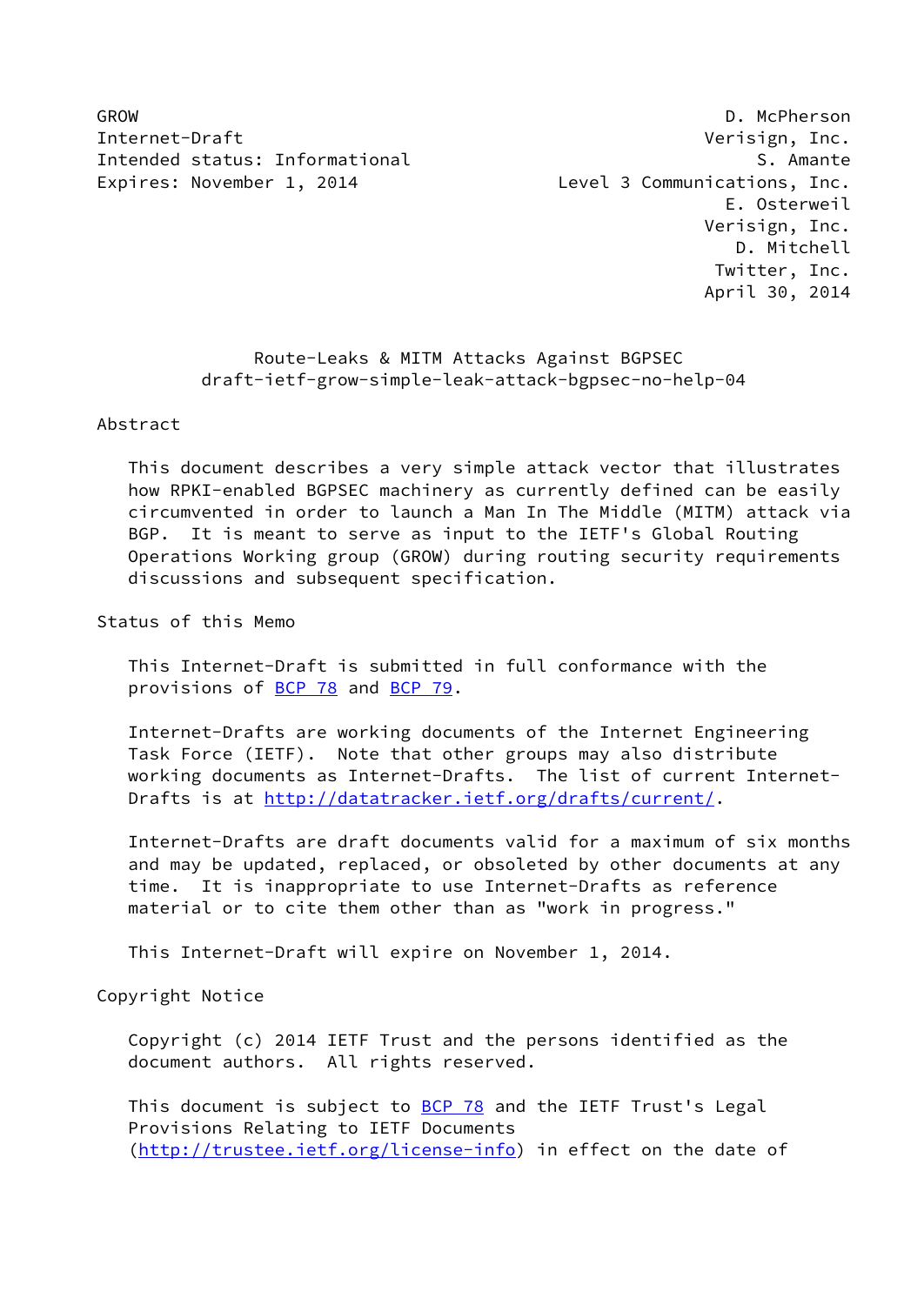Internet-Draft **Verisign, Inc.** Intended status: Informational S. Amante Expires: November 1, 2014 Level 3 Communications, Inc.

GROW D. McPherson E. Osterweil Verisign, Inc. D. Mitchell Twitter, Inc. April 30, 2014

# Route-Leaks & MITM Attacks Against BGPSEC draft-ietf-grow-simple-leak-attack-bgpsec-no-help-04

#### Abstract

 This document describes a very simple attack vector that illustrates how RPKI-enabled BGPSEC machinery as currently defined can be easily circumvented in order to launch a Man In The Middle (MITM) attack via BGP. It is meant to serve as input to the IETF's Global Routing Operations Working group (GROW) during routing security requirements discussions and subsequent specification.

## Status of this Memo

 This Internet-Draft is submitted in full conformance with the provisions of [BCP 78](https://datatracker.ietf.org/doc/pdf/bcp78) and [BCP 79](https://datatracker.ietf.org/doc/pdf/bcp79).

 Internet-Drafts are working documents of the Internet Engineering Task Force (IETF). Note that other groups may also distribute working documents as Internet-Drafts. The list of current Internet- Drafts is at<http://datatracker.ietf.org/drafts/current/>.

 Internet-Drafts are draft documents valid for a maximum of six months and may be updated, replaced, or obsoleted by other documents at any time. It is inappropriate to use Internet-Drafts as reference material or to cite them other than as "work in progress."

This Internet-Draft will expire on November 1, 2014.

## Copyright Notice

 Copyright (c) 2014 IETF Trust and the persons identified as the document authors. All rights reserved.

This document is subject to **[BCP 78](https://datatracker.ietf.org/doc/pdf/bcp78)** and the IETF Trust's Legal Provisions Relating to IETF Documents [\(http://trustee.ietf.org/license-info](http://trustee.ietf.org/license-info)) in effect on the date of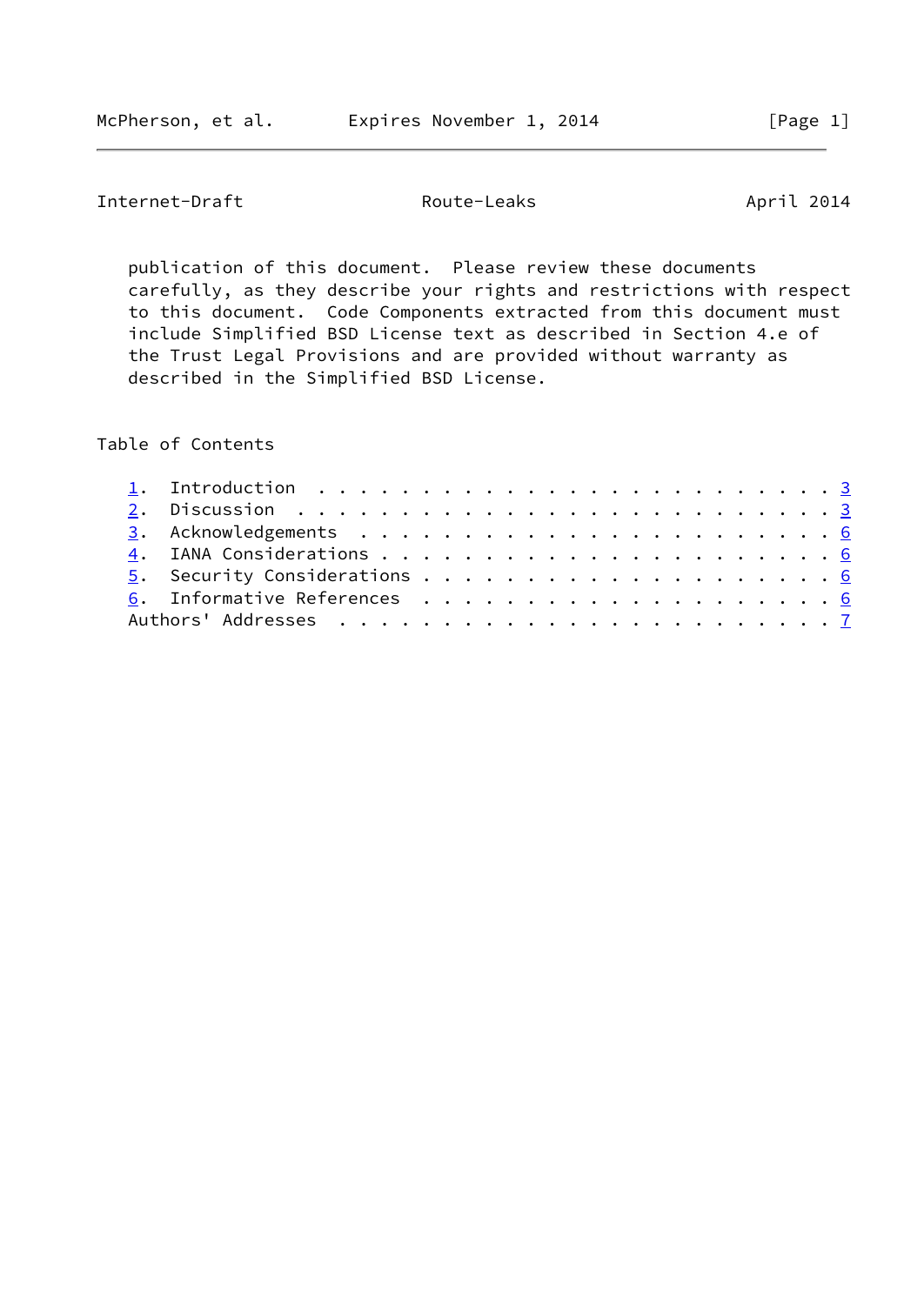Internet-Draft Route-Leaks April 2014

 publication of this document. Please review these documents carefully, as they describe your rights and restrictions with respect to this document. Code Components extracted from this document must include Simplified BSD License text as described in Section 4.e of the Trust Legal Provisions and are provided without warranty as described in the Simplified BSD License.

Table of Contents

|  | 1. Introduction $\ldots \ldots \ldots \ldots \ldots \ldots \ldots \ldots \ldots$ |  |  |  |  |  |  |  |  |  |  |  |
|--|----------------------------------------------------------------------------------|--|--|--|--|--|--|--|--|--|--|--|
|  |                                                                                  |  |  |  |  |  |  |  |  |  |  |  |
|  |                                                                                  |  |  |  |  |  |  |  |  |  |  |  |
|  |                                                                                  |  |  |  |  |  |  |  |  |  |  |  |
|  |                                                                                  |  |  |  |  |  |  |  |  |  |  |  |
|  |                                                                                  |  |  |  |  |  |  |  |  |  |  |  |
|  |                                                                                  |  |  |  |  |  |  |  |  |  |  |  |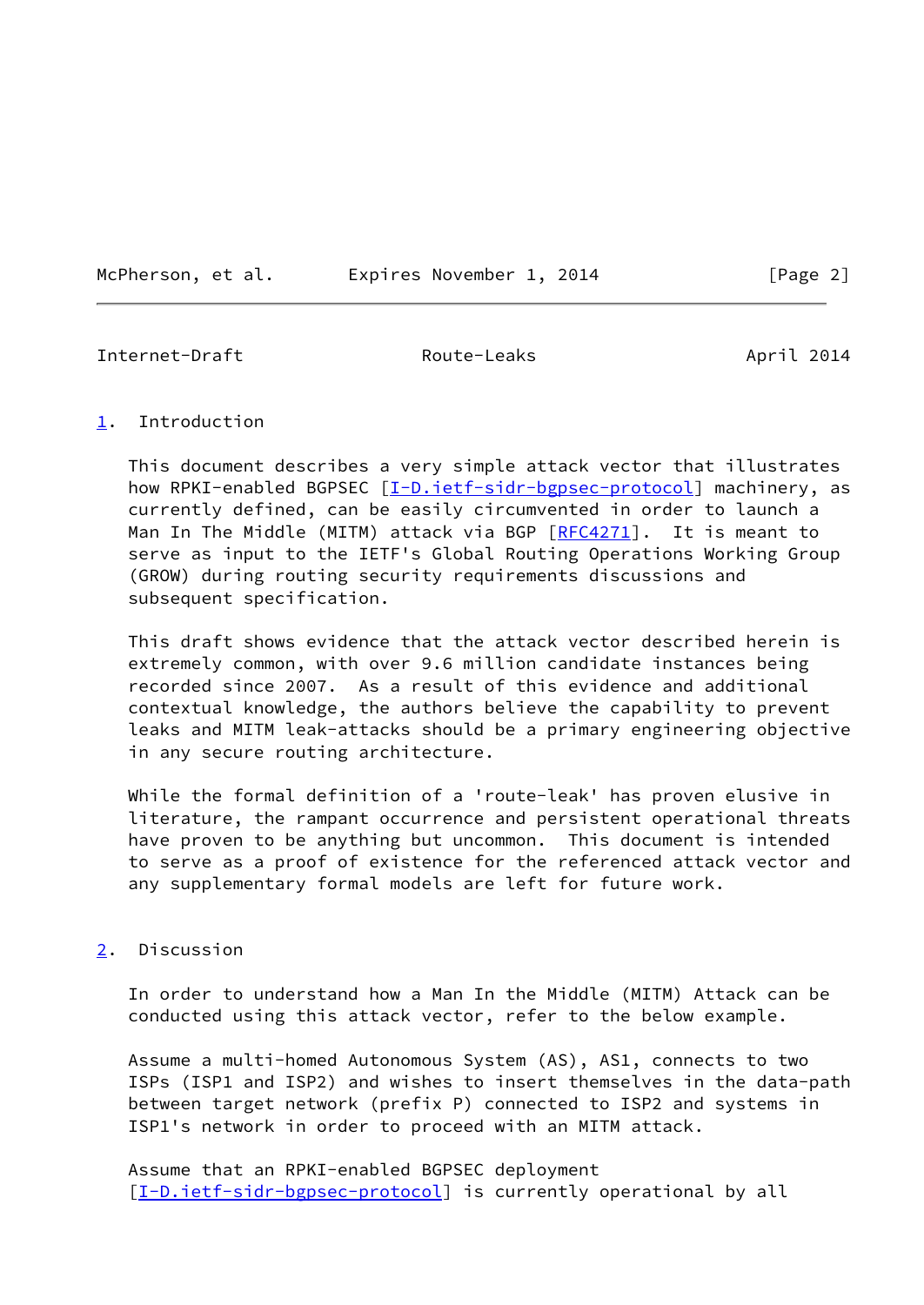McPherson, et al. Expires November 1, 2014 [Page 2]

<span id="page-2-1"></span>Internet-Draft Route-Leaks April 2014

## <span id="page-2-0"></span>[1](#page-2-0). Introduction

 This document describes a very simple attack vector that illustrates how RPKI-enabled BGPSEC [\[I-D.ietf-sidr-bgpsec-protocol](#page-6-4)] machinery, as currently defined, can be easily circumvented in order to launch a Man In The Middle (MITM) attack via BGP [\[RFC4271](https://datatracker.ietf.org/doc/pdf/rfc4271)]. It is meant to serve as input to the IETF's Global Routing Operations Working Group (GROW) during routing security requirements discussions and subsequent specification.

 This draft shows evidence that the attack vector described herein is extremely common, with over 9.6 million candidate instances being recorded since 2007. As a result of this evidence and additional contextual knowledge, the authors believe the capability to prevent leaks and MITM leak-attacks should be a primary engineering objective in any secure routing architecture.

 While the formal definition of a 'route-leak' has proven elusive in literature, the rampant occurrence and persistent operational threats have proven to be anything but uncommon. This document is intended to serve as a proof of existence for the referenced attack vector and any supplementary formal models are left for future work.

## <span id="page-2-2"></span>[2](#page-2-2). Discussion

 In order to understand how a Man In the Middle (MITM) Attack can be conducted using this attack vector, refer to the below example.

 Assume a multi-homed Autonomous System (AS), AS1, connects to two ISPs (ISP1 and ISP2) and wishes to insert themselves in the data-path between target network (prefix P) connected to ISP2 and systems in ISP1's network in order to proceed with an MITM attack.

 Assume that an RPKI-enabled BGPSEC deployment [\[I-D.ietf-sidr-bgpsec-protocol](#page-6-4)] is currently operational by all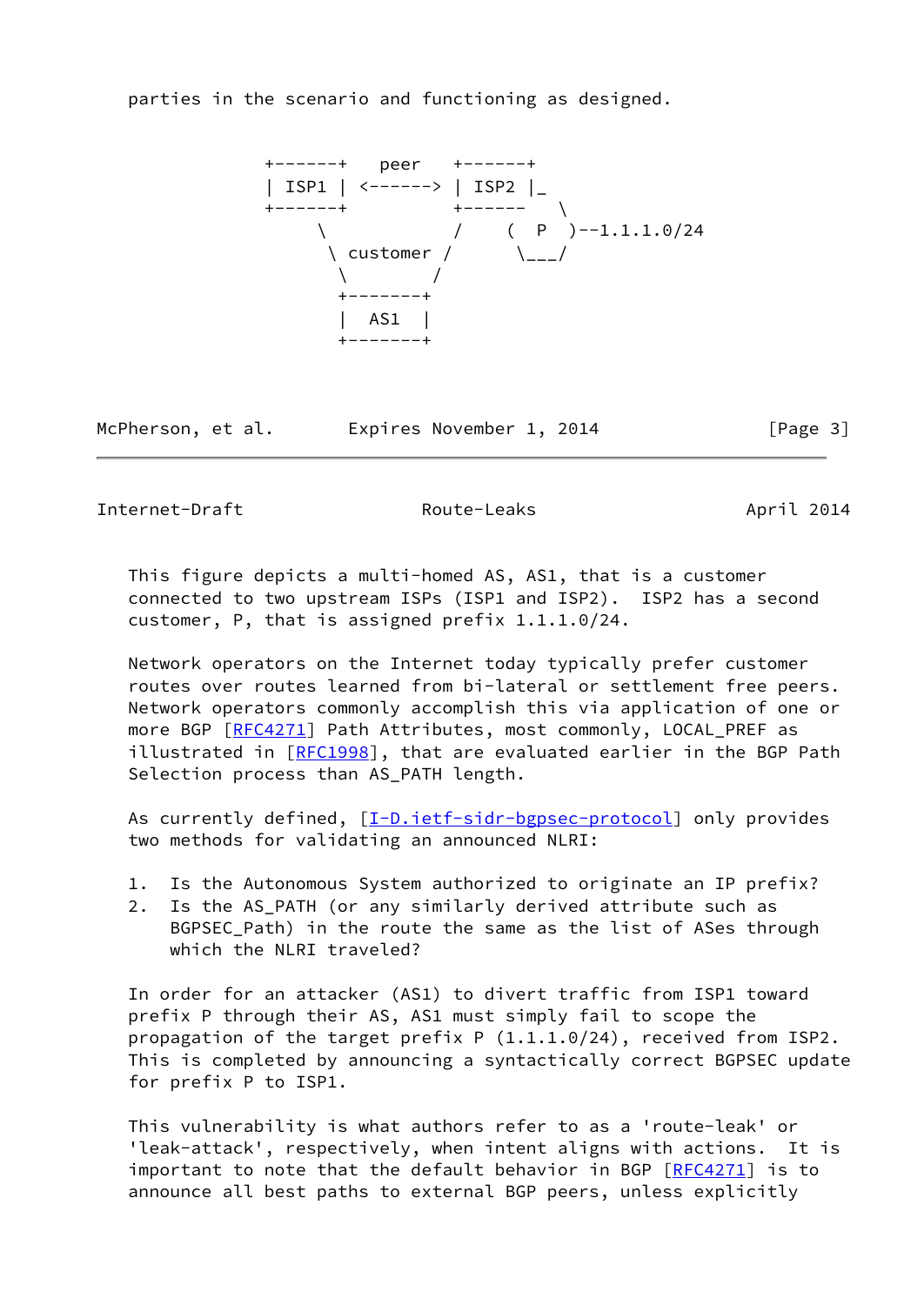parties in the scenario and functioning as designed.

 +------+ peer +------+ | ISP1 | <------> | ISP2 |\_ +------+ +------ \ \ / ( P )--1.1.1.0/24 \ customer / \\_\_\_/ \ / +-------+ | AS1 | +-------+

McPherson, et al. Expires November 1, 2014 [Page 3]

Internet-Draft Route-Leaks April 2014

 This figure depicts a multi-homed AS, AS1, that is a customer connected to two upstream ISPs (ISP1 and ISP2). ISP2 has a second customer, P, that is assigned prefix 1.1.1.0/24.

 Network operators on the Internet today typically prefer customer routes over routes learned from bi-lateral or settlement free peers. Network operators commonly accomplish this via application of one or more BGP [\[RFC4271](https://datatracker.ietf.org/doc/pdf/rfc4271)] Path Attributes, most commonly, LOCAL\_PREF as illustrated in [\[RFC1998](https://datatracker.ietf.org/doc/pdf/rfc1998)], that are evaluated earlier in the BGP Path Selection process than AS\_PATH length.

As currently defined, [[I-D.ietf-sidr-bgpsec-protocol\]](#page-6-4) only provides two methods for validating an announced NLRI:

- 1. Is the Autonomous System authorized to originate an IP prefix?
- 2. Is the AS\_PATH (or any similarly derived attribute such as BGPSEC\_Path) in the route the same as the list of ASes through which the NLRI traveled?

 In order for an attacker (AS1) to divert traffic from ISP1 toward prefix P through their AS, AS1 must simply fail to scope the propagation of the target prefix P (1.1.1.0/24), received from ISP2. This is completed by announcing a syntactically correct BGPSEC update for prefix P to ISP1.

 This vulnerability is what authors refer to as a 'route-leak' or 'leak-attack', respectively, when intent aligns with actions. It is important to note that the default behavior in BGP [[RFC4271\]](https://datatracker.ietf.org/doc/pdf/rfc4271) is to announce all best paths to external BGP peers, unless explicitly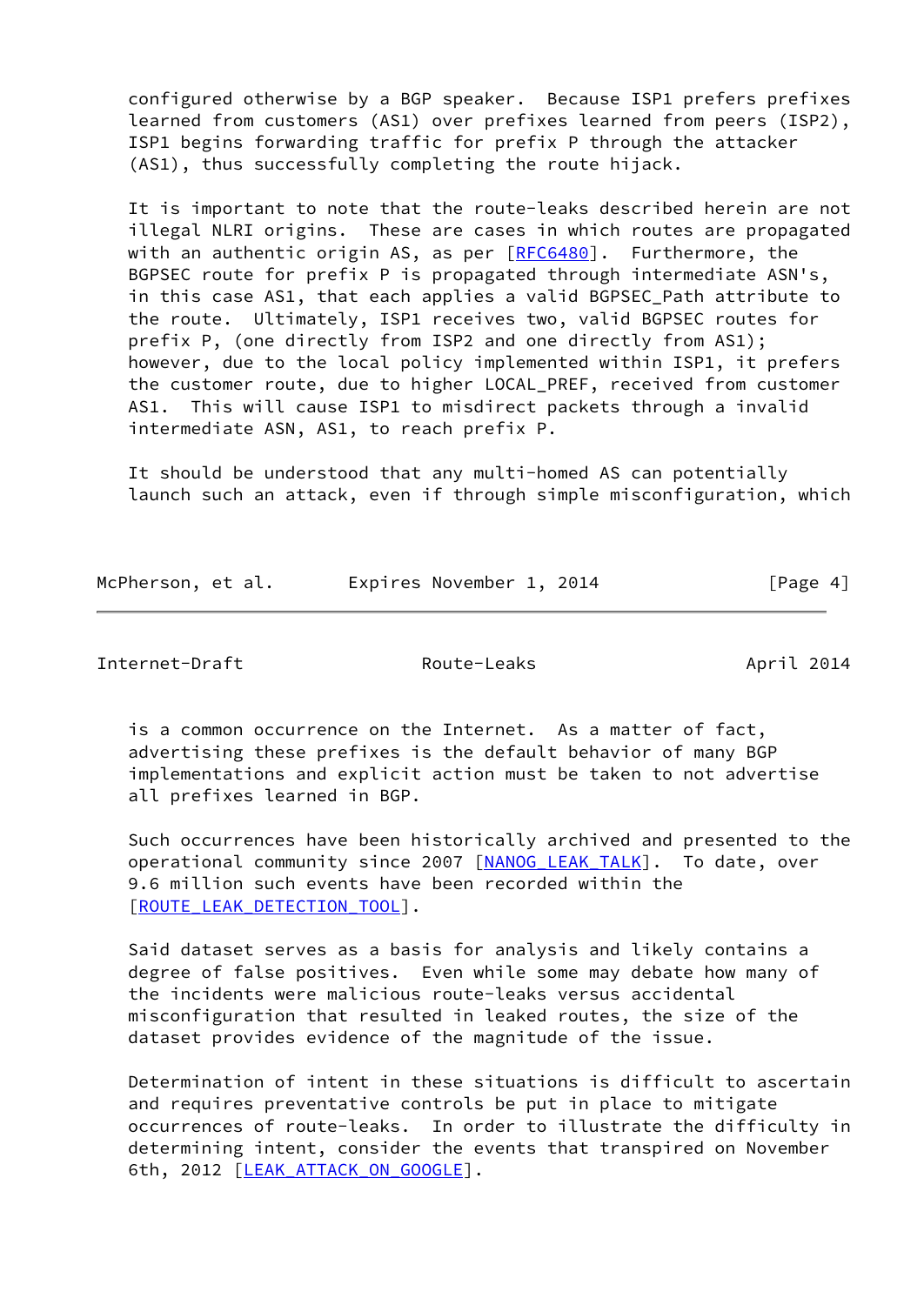configured otherwise by a BGP speaker. Because ISP1 prefers prefixes learned from customers (AS1) over prefixes learned from peers (ISP2), ISP1 begins forwarding traffic for prefix P through the attacker (AS1), thus successfully completing the route hijack.

 It is important to note that the route-leaks described herein are not illegal NLRI origins. These are cases in which routes are propagated with an authentic origin AS, as per [\[RFC6480](https://datatracker.ietf.org/doc/pdf/rfc6480)]. Furthermore, the BGPSEC route for prefix P is propagated through intermediate ASN's, in this case AS1, that each applies a valid BGPSEC\_Path attribute to the route. Ultimately, ISP1 receives two, valid BGPSEC routes for prefix P, (one directly from ISP2 and one directly from AS1); however, due to the local policy implemented within ISP1, it prefers the customer route, due to higher LOCAL\_PREF, received from customer AS1. This will cause ISP1 to misdirect packets through a invalid intermediate ASN, AS1, to reach prefix P.

 It should be understood that any multi-homed AS can potentially launch such an attack, even if through simple misconfiguration, which

| McPherson, et al. |  | Expires November 1, 2014 |  | [Page 4] |
|-------------------|--|--------------------------|--|----------|
|                   |  |                          |  |          |

Internet-Draft Route-Leaks April 2014

 is a common occurrence on the Internet. As a matter of fact, advertising these prefixes is the default behavior of many BGP implementations and explicit action must be taken to not advertise all prefixes learned in BGP.

 Such occurrences have been historically archived and presented to the operational community since 2007 [NANOG LEAK TALK]. To date, over 9.6 million such events have been recorded within the [\[ROUTE\\_LEAK\\_DETECTION\\_TOOL](#page-7-0)].

 Said dataset serves as a basis for analysis and likely contains a degree of false positives. Even while some may debate how many of the incidents were malicious route-leaks versus accidental misconfiguration that resulted in leaked routes, the size of the dataset provides evidence of the magnitude of the issue.

 Determination of intent in these situations is difficult to ascertain and requires preventative controls be put in place to mitigate occurrences of route-leaks. In order to illustrate the difficulty in determining intent, consider the events that transpired on November 6th, 2012 [LEAK ATTACK ON GOOGLE].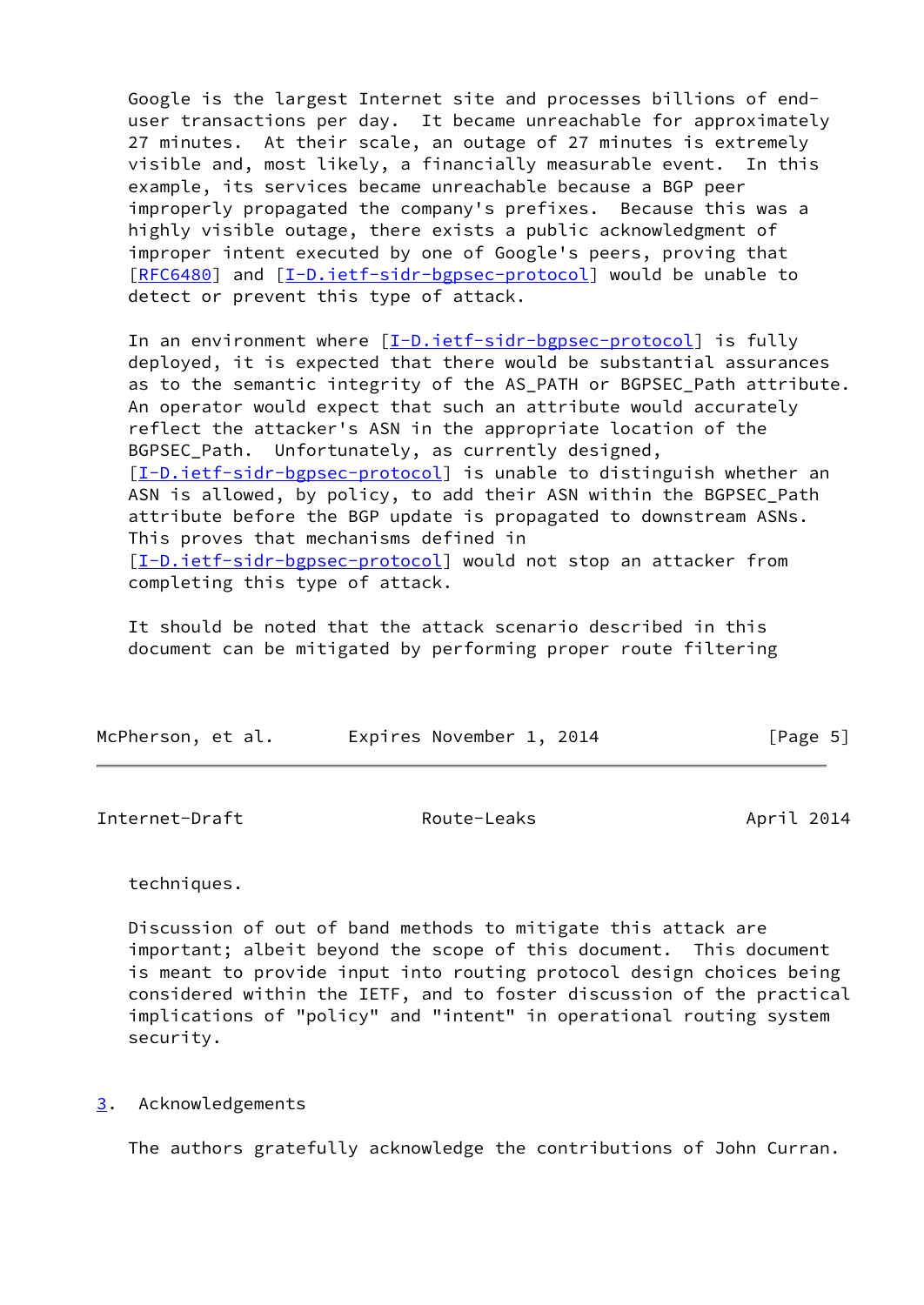Google is the largest Internet site and processes billions of end user transactions per day. It became unreachable for approximately 27 minutes. At their scale, an outage of 27 minutes is extremely visible and, most likely, a financially measurable event. In this example, its services became unreachable because a BGP peer improperly propagated the company's prefixes. Because this was a highly visible outage, there exists a public acknowledgment of improper intent executed by one of Google's peers, proving that [\[RFC6480](https://datatracker.ietf.org/doc/pdf/rfc6480)] and [[I-D.ietf-sidr-bgpsec-protocol\]](#page-6-4) would be unable to detect or prevent this type of attack.

In an environment where  $[I-D.iett-sidr-bgpsec-protocol]$  is fully deployed, it is expected that there would be substantial assurances as to the semantic integrity of the AS\_PATH or BGPSEC\_Path attribute. An operator would expect that such an attribute would accurately reflect the attacker's ASN in the appropriate location of the BGPSEC\_Path. Unfortunately, as currently designed, [\[I-D.ietf-sidr-bgpsec-protocol](#page-6-4)] is unable to distinguish whether an ASN is allowed, by policy, to add their ASN within the BGPSEC Path attribute before the BGP update is propagated to downstream ASNs. This proves that mechanisms defined in [\[I-D.ietf-sidr-bgpsec-protocol](#page-6-4)] would not stop an attacker from completing this type of attack.

 It should be noted that the attack scenario described in this document can be mitigated by performing proper route filtering

| McPherson, et al. | Expires November 1, 2014 | [Page 5] |
|-------------------|--------------------------|----------|
|-------------------|--------------------------|----------|

<span id="page-5-1"></span>Internet-Draft Route-Leaks April 2014

## techniques.

 Discussion of out of band methods to mitigate this attack are important; albeit beyond the scope of this document. This document is meant to provide input into routing protocol design choices being considered within the IETF, and to foster discussion of the practical implications of "policy" and "intent" in operational routing system security.

## <span id="page-5-0"></span>[3](#page-5-0). Acknowledgements

The authors gratefully acknowledge the contributions of John Curran.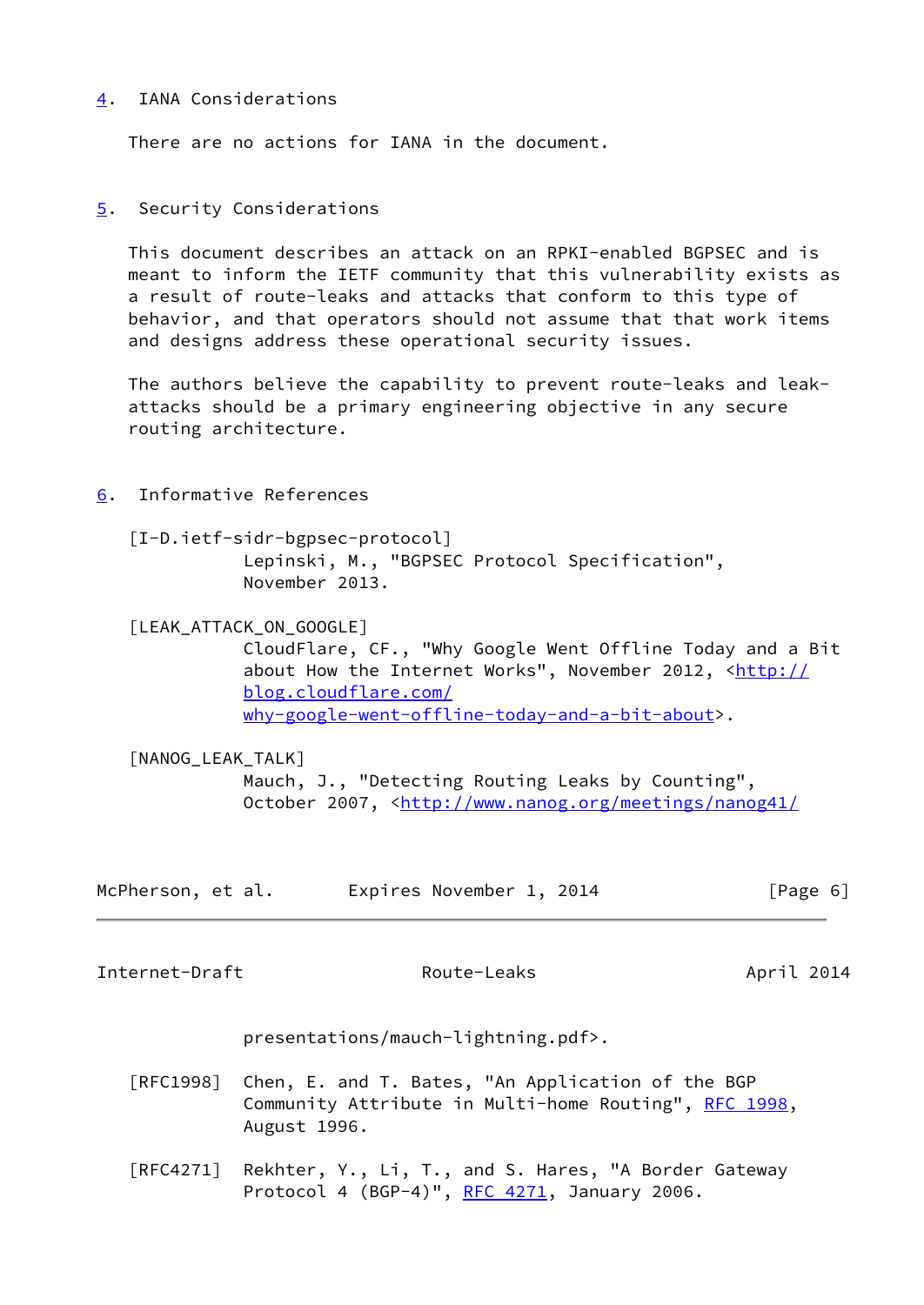## <span id="page-6-0"></span>[4](#page-6-0). IANA Considerations

There are no actions for IANA in the document.

<span id="page-6-1"></span>[5](#page-6-1). Security Considerations

 This document describes an attack on an RPKI-enabled BGPSEC and is meant to inform the IETF community that this vulnerability exists as a result of route-leaks and attacks that conform to this type of behavior, and that operators should not assume that that work items and designs address these operational security issues.

 The authors believe the capability to prevent route-leaks and leak attacks should be a primary engineering objective in any secure routing architecture.

- <span id="page-6-4"></span><span id="page-6-2"></span>[6](#page-6-2). Informative References
	- [I-D.ietf-sidr-bgpsec-protocol] Lepinski, M., "BGPSEC Protocol Specification", November 2013.

<span id="page-6-6"></span>[LEAK\_ATTACK\_ON\_GOOGLE]

 CloudFlare, CF., "Why Google Went Offline Today and a Bit about How the Internet Works", November 2012, [<http://](http://blog.cloudflare.com/why-google-went-offline-today-and-a-bit-about) [blog.cloudflare.com/](http://blog.cloudflare.com/why-google-went-offline-today-and-a-bit-about) [why-google-went-offline-today-and-a-bit-about>](http://blog.cloudflare.com/why-google-went-offline-today-and-a-bit-about).

## <span id="page-6-5"></span>[NANOG\_LEAK\_TALK]

 Mauch, J., "Detecting Routing Leaks by Counting", October 2007, [<http://www.nanog.org/meetings/nanog41/](http://www.nanog.org/meetings/nanog41/)

| McPherson, et al. | Expires November 1, 2014 | [Page 6] |
|-------------------|--------------------------|----------|
|-------------------|--------------------------|----------|

<span id="page-6-3"></span>Internet-Draft Route-Leaks April 2014

presentations/mauch-lightning.pdf>.

- [RFC1998] Chen, E. and T. Bates, "An Application of the BGP Community Attribute in Multi-home Routing", [RFC 1998,](https://datatracker.ietf.org/doc/pdf/rfc1998) August 1996.
- [RFC4271] Rekhter, Y., Li, T., and S. Hares, "A Border Gateway Protocol 4 (BGP-4)", [RFC 4271](https://datatracker.ietf.org/doc/pdf/rfc4271), January 2006.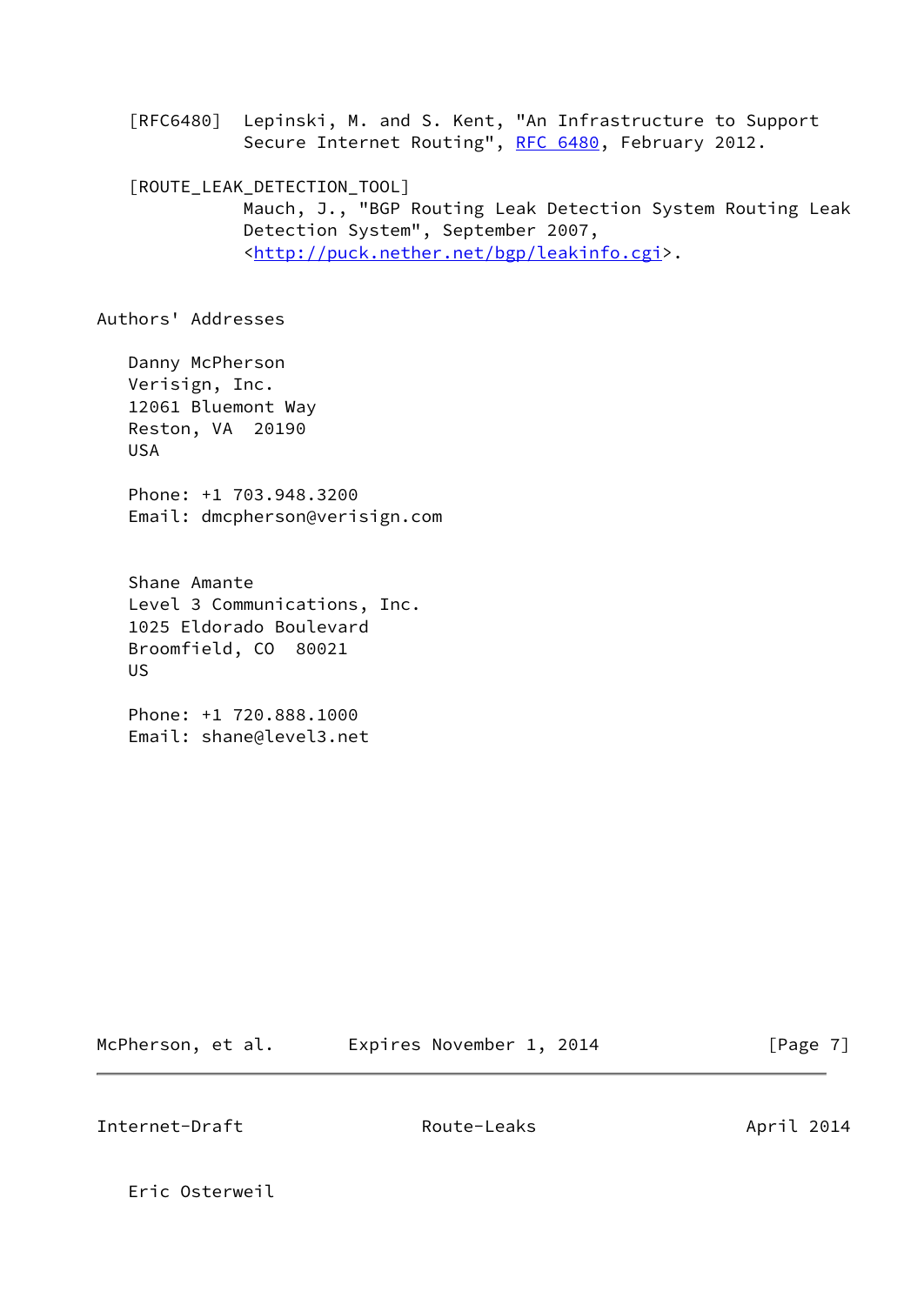[RFC6480] Lepinski, M. and S. Kent, "An Infrastructure to Support Secure Internet Routing", [RFC 6480](https://datatracker.ietf.org/doc/pdf/rfc6480), February 2012.

<span id="page-7-0"></span> [ROUTE\_LEAK\_DETECTION\_TOOL] Mauch, J., "BGP Routing Leak Detection System Routing Leak Detection System", September 2007, <[http://puck.nether.net/bgp/leakinfo.cgi>](http://puck.nether.net/bgp/leakinfo.cgi).

Authors' Addresses

 Danny McPherson Verisign, Inc. 12061 Bluemont Way Reston, VA 20190 USA

 Phone: +1 703.948.3200 Email: dmcpherson@verisign.com

 Shane Amante Level 3 Communications, Inc. 1025 Eldorado Boulevard Broomfield, CO 80021 US

 Phone: +1 720.888.1000 Email: shane@level3.net

McPherson, et al. Expires November 1, 2014 [Page 7]

Internet-Draft Route-Leaks April 2014

Eric Osterweil